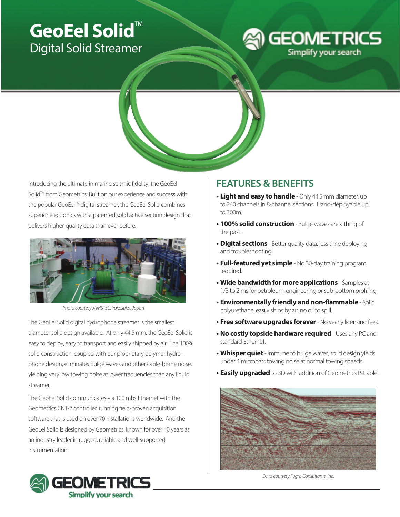# GeoEel Solid<sup>"</sup> Digital Solid Streamer





Introducing the ultimate in marine seismic fidelity: the GeoEel Solid™ from Geometrics. Built on our experience and success with the popular GeoEel™ digital streamer, the GeoEel Solid combines superior electronics with a patented solid active section design that delivers higher-quality data than ever before.



*Photo courtesy JAMSTEC, Yokosuka, Japan*

The GeoEel Solid digital hydrophone streamer is the smallest diameter solid design available. At only 44.5 mm, the GeoEel Solid is easy to deploy, easy to transport and easily shipped by air. The 100% solid construction, coupled with our proprietary polymer hydrophone design, eliminates bulge waves and other cable-borne noise, yielding very low towing noise at lower frequencies than any liquid streamer.

The GeoEel Solid communicates via 100 mbs Ethernet with the Geometrics CNT-2 controller, running field-proven acquisition software that is used on over 70 installations worldwide. And the GeoEel Solid is designed by Geometrics, known for over 40 years as an industry leader in rugged, reliable and well-supported instrumentation.

## **FEATURES & BENEFITS**

- **• Light and easy to handle** Only 44.5 mm diameter, up to 240 channels in 8-channel sections. Hand-deployable up to 300m.
- **• 100% solid construction** Bulge waves are a thing of the past.
- **• Digital sections** Better quality data, less time deploying and troubleshooting.
- **• Full-featured yet simple** No 30-day training program required.
- **• Wide bandwidth for more applications** Samples at 1/8 to 2 ms for petroleum, engineering or sub-bottom profiling.
- **• Environmentally friendly and non-flammable** Solid polyurethane, easily ships by air, no oil to spill.
- **• Free software upgrades forever**  No yearly licensing fees.
- **No costly topside hardware required** Uses any PC and standard Ethernet.
- **• Whisper quiet**  Immune to bulge waves, solid design yields under 4 microbars towing noise at normal towing speeds.
- **• Easily upgraded** to 3D with addition of Geometrics P-Cable.



*Data courtesy Fugro Consultants, Inc.*